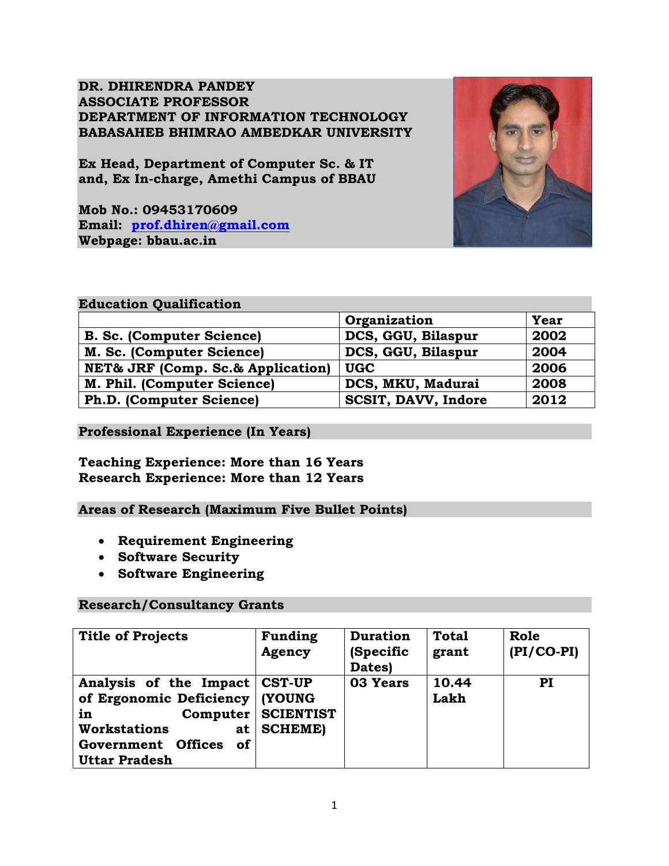**DR. DHIRENDRA PANDEY ASSOCIATE PROFESSOR DEPARTMENT OF INFORMATION TECHNOLOGY BABASAHEB BHIMRAO AMBEDKAR UNIVERSITY**

**Ex Head, Department of Computer Sc. & IT and, Ex In-charge, Amethi Campus of BBAU**

**Mob No.: 09453170609 Email: [prof.dhiren@gmail.com](mailto:prof.dhiren@gmail.com) Webpage: bbau.ac.in** 



#### **Education Qualification**

|                                                  | Organization        | Year |
|--------------------------------------------------|---------------------|------|
| <b>B. Sc. (Computer Science)</b>                 | DCS, GGU, Bilaspur  | 2002 |
| M. Sc. (Computer Science)                        | DCS, GGU, Bilaspur  | 2004 |
| <b>NET&amp; JRF (Comp. Sc.&amp; Application)</b> | <b>UGC</b>          | 2006 |
| M. Phil. (Computer Science)                      | DCS, MKU, Madurai   | 2008 |
| Ph.D. (Computer Science)                         | SCSIT, DAVV, Indore | 2012 |

#### **Professional Experience (In Years)**

# **Teaching Experience: More than 16 Years Research Experience: More than 12 Years**

# **Areas of Research (Maximum Five Bullet Points)**

- **Requirement Engineering**
- **Software Security**
- **Software Engineering**

# **Research/Consultancy Grants**

| <b>Title of Projects</b>                                                                                                                                    | <b>Funding</b><br>Agency                                             | <b>Duration</b><br>(Specific<br>Dates) | <b>Total</b><br>grant | Role<br>$(PI/CO-PI)$ |
|-------------------------------------------------------------------------------------------------------------------------------------------------------------|----------------------------------------------------------------------|----------------------------------------|-----------------------|----------------------|
| Analysis of the Impact<br>of Ergonomic Deficiency<br>in<br>Computer<br><b>Workstations</b><br>at<br>Government Offices<br><b>of</b><br><b>Uttar Pradesh</b> | <b>CST-UP</b><br><b>(YOUNG</b><br><b>SCIENTIST</b><br><b>SCHEME)</b> | 03 Years                               | 10.44<br>Lakh         | PI                   |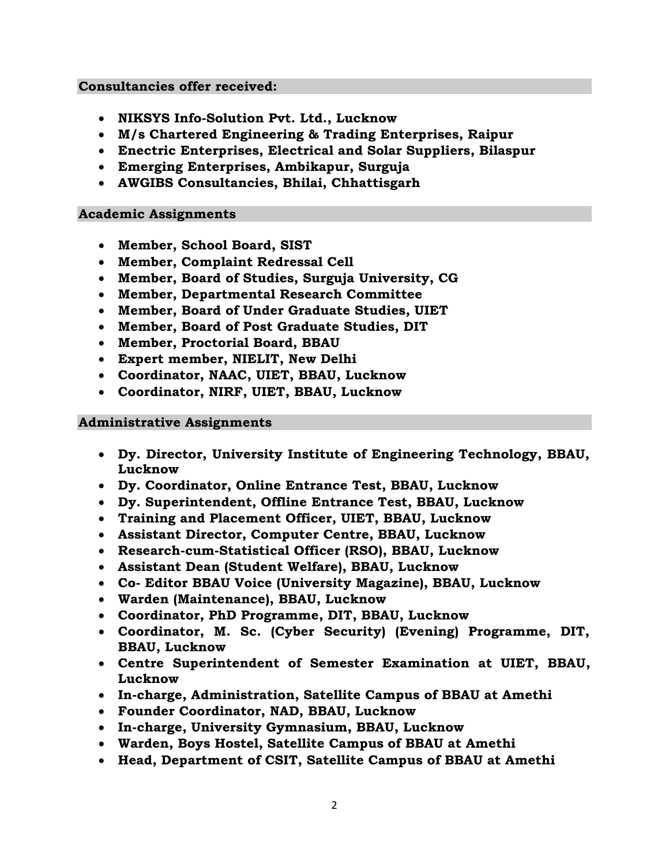#### **Consultancies offer received:**

- **NIKSYS Info-Solution Pvt. Ltd., Lucknow**
- **M/s Chartered Engineering & Trading Enterprises, Raipur**
- **Enectric Enterprises, Electrical and Solar Suppliers, Bilaspur**
- **Emerging Enterprises, Ambikapur, Surguja**
- **AWGIBS Consultancies, Bhilai, Chhattisgarh**

#### **Academic Assignments**

- **Member, School Board, SIST**
- **Member, Complaint Redressal Cell**
- **Member, Board of Studies, Surguja University, CG**
- **Member, Departmental Research Committee**
- **Member, Board of Under Graduate Studies, UIET**
- **Member, Board of Post Graduate Studies, DIT**
- **Member, Proctorial Board, BBAU**
- **Expert member, NIELIT, New Delhi**
- **Coordinator, NAAC, UIET, BBAU, Lucknow**
- **Coordinator, NIRF, UIET, BBAU, Lucknow**

#### **Administrative Assignments**

- **Dy. Director, University Institute of Engineering Technology, BBAU, Lucknow**
- **Dy. Coordinator, Online Entrance Test, BBAU, Lucknow**
- **Dy. Superintendent, Offline Entrance Test, BBAU, Lucknow**
- **Training and Placement Officer, UIET, BBAU, Lucknow**
- **Assistant Director, Computer Centre, BBAU, Lucknow**
- **Research-cum-Statistical Officer (RSO), BBAU, Lucknow**
- **Assistant Dean (Student Welfare), BBAU, Lucknow**
- **Co- Editor BBAU Voice (University Magazine), BBAU, Lucknow**
- **Warden (Maintenance), BBAU, Lucknow**
- **Coordinator, PhD Programme, DIT, BBAU, Lucknow**
- **Coordinator, M. Sc. (Cyber Security) (Evening) Programme, DIT, BBAU, Lucknow**
- **Centre Superintendent of Semester Examination at UIET, BBAU, Lucknow**
- **In-charge, Administration, Satellite Campus of BBAU at Amethi**
- **Founder Coordinator, NAD, BBAU, Lucknow**
- **In-charge, University Gymnasium, BBAU, Lucknow**
- **Warden, Boys Hostel, Satellite Campus of BBAU at Amethi**
- **Head, Department of CSIT, Satellite Campus of BBAU at Amethi**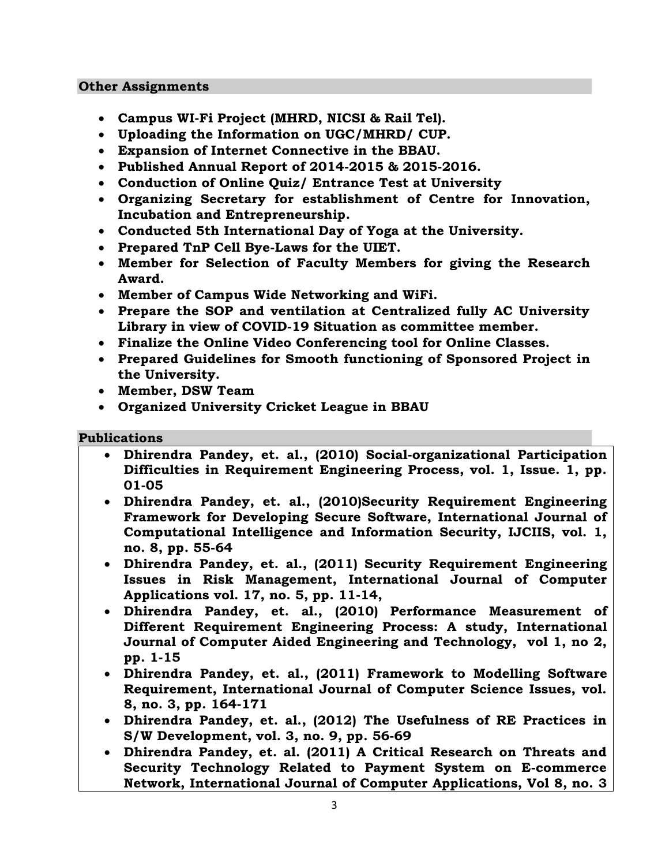#### **Other Assignments**

- **Campus WI-Fi Project (MHRD, NICSI & Rail Tel).**
- **Uploading the Information on UGC/MHRD/ CUP.**
- **Expansion of Internet Connective in the BBAU.**
- **Published Annual Report of 2014-2015 & 2015-2016.**
- **Conduction of Online Quiz/ Entrance Test at University**
- **Organizing Secretary for establishment of Centre for Innovation, Incubation and Entrepreneurship.**
- **Conducted 5th International Day of Yoga at the University.**
- **Prepared TnP Cell Bye-Laws for the UIET.**
- **Member for Selection of Faculty Members for giving the Research Award.**
- **Member of Campus Wide Networking and WiFi.**
- **Prepare the SOP and ventilation at Centralized fully AC University Library in view of COVID-19 Situation as committee member.**
- **Finalize the Online Video Conferencing tool for Online Classes.**
- **Prepared Guidelines for Smooth functioning of Sponsored Project in the University.**
- **Member, DSW Team**
- **Organized University Cricket League in BBAU**

#### **Publications**

- **Dhirendra Pandey, et. al., (2010) Social-organizational Participation Difficulties in Requirement Engineering Process, vol. 1, Issue. 1, pp. 01-05**
- **Dhirendra Pandey, et. al., (2010)Security Requirement Engineering Framework for Developing Secure Software, International Journal of Computational Intelligence and Information Security, IJCIIS, vol. 1, no. 8, pp. 55-64**
- **Dhirendra Pandey, et. al., (2011) Security Requirement Engineering Issues in Risk Management, International Journal of Computer Applications vol. 17, no. 5, pp. 11-14,**
- **Dhirendra Pandey, et. al., (2010) Performance Measurement of Different Requirement Engineering Process: A study, International Journal of Computer Aided Engineering and Technology, vol 1, no 2, pp. 1-15**
- **Dhirendra Pandey, et. al., (2011) Framework to Modelling Software Requirement, International Journal of Computer Science Issues, vol. 8, no. 3, pp. 164-171**
- **Dhirendra Pandey, et. al., (2012) The Usefulness of RE Practices in S/W Development, vol. 3, no. 9, pp. 56-69**
- **Dhirendra Pandey, et. al. (2011) A Critical Research on Threats and Security Technology Related to Payment System on E-commerce Network, International Journal of Computer Applications, Vol 8, no. 3**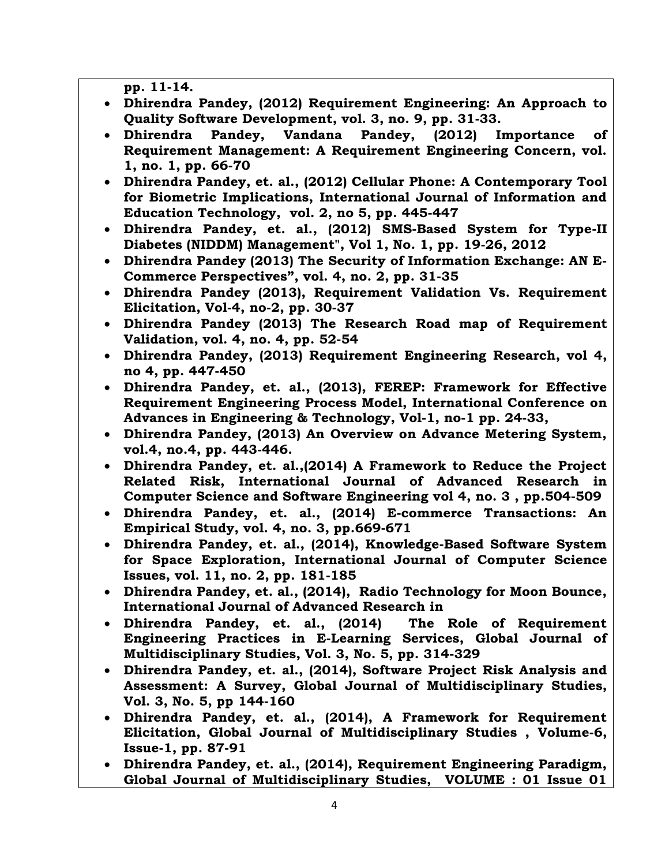**pp. 11-14.**

- **Dhirendra Pandey, (2012) Requirement Engineering: An Approach to Quality Software Development, vol. 3, no. 9, pp. 31-33.**
- **Dhirendra Pandey, Vandana Pandey, (2012) Importance of Requirement Management: A Requirement Engineering Concern, vol. 1, no. 1, pp. 66-70**
- **Dhirendra Pandey, et. al., (2012) Cellular Phone: A Contemporary Tool for Biometric Implications, International Journal of Information and Education Technology, vol. 2, no 5, pp. 445-447**
- **Dhirendra Pandey, et. al., (2012) SMS-Based System for Type-II Diabetes (NIDDM) Management", Vol 1, No. 1, pp. 19-26, 2012**
- **Dhirendra Pandey (2013) The Security of Information Exchange: AN E-Commerce Perspectives", vol. 4, no. 2, pp. 31-35**
- **Dhirendra Pandey (2013), Requirement Validation Vs. Requirement Elicitation, Vol-4, no-2, pp. 30-37**
- **Dhirendra Pandey (2013) The Research Road map of Requirement Validation, vol. 4, no. 4, pp. 52-54**
- **Dhirendra Pandey, (2013) Requirement Engineering Research, vol 4, no 4, pp. 447-450**
- **Dhirendra Pandey, et. al., (2013), FEREP: Framework for Effective Requirement Engineering Process Model, International Conference on Advances in Engineering & Technology, Vol-1, no-1 pp. 24-33,**
- **Dhirendra Pandey, (2013) An Overview on Advance Metering System, vol.4, no.4, pp. 443-446.**
- **Dhirendra Pandey, et. al.,(2014) A Framework to Reduce the Project Related Risk, International Journal of Advanced Research in Computer Science and Software Engineering vol 4, no. 3 , pp.504-509**
- **Dhirendra Pandey, et. al., (2014) E-commerce Transactions: An Empirical Study, vol. 4, no. 3, pp.669-671**
- **Dhirendra Pandey, et. al., (2014), Knowledge-Based Software System for Space Exploration, International Journal of Computer Science Issues, vol. 11, no. 2, pp. 181-185**
- **Dhirendra Pandey, et. al., (2014), Radio Technology for Moon Bounce, International Journal of Advanced Research in**
- **Dhirendra Pandey, et. al., (2014) The Role of Requirement Engineering Practices in E-Learning Services, Global Journal of Multidisciplinary Studies, Vol. 3, No. 5, pp. 314-329**
- **Dhirendra Pandey, et. al., (2014), Software Project Risk Analysis and Assessment: A Survey, Global Journal of Multidisciplinary Studies, Vol. 3, No. 5, pp 144-160**
- **Dhirendra Pandey, et. al., (2014), A Framework for Requirement Elicitation, Global Journal of Multidisciplinary Studies , Volume-6, Issue-1, pp. 87-91**
- **Dhirendra Pandey, et. al., (2014), Requirement Engineering Paradigm, Global Journal of Multidisciplinary Studies, VOLUME : 01 Issue 01**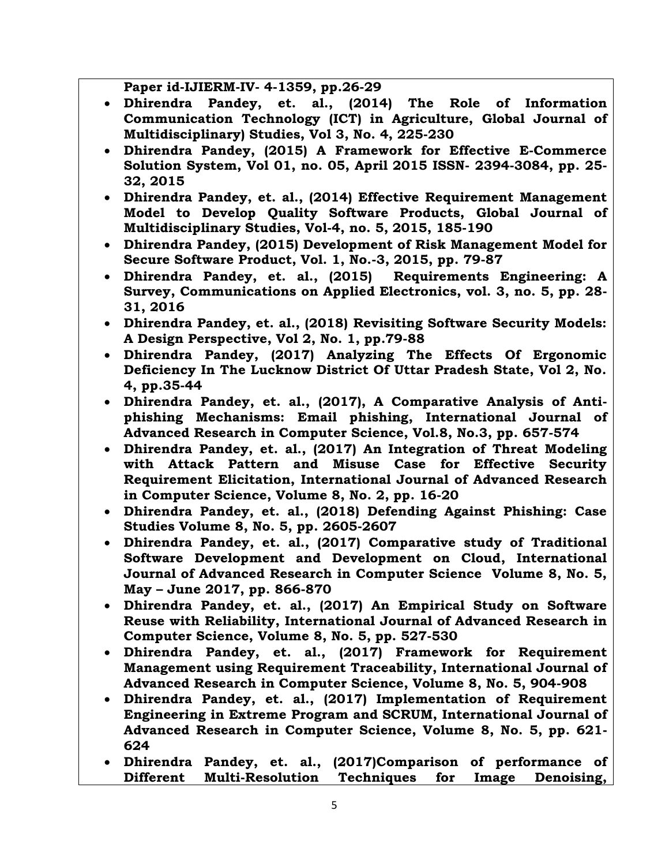**Paper id-IJIERM-IV- 4-1359, pp.26-29**

- **Dhirendra Pandey, et. al., (2014) The Role of Information Communication Technology (ICT) in Agriculture, Global Journal of Multidisciplinary) Studies, Vol 3, No. 4, 225-230**
- **Dhirendra Pandey, (2015) A Framework for Effective E-Commerce Solution System, Vol 01, no. 05, April 2015 ISSN- 2394-3084, pp. 25- 32, 2015**
- **Dhirendra Pandey, et. al., (2014) Effective Requirement Management Model to Develop Quality Software Products, Global Journal of Multidisciplinary Studies, Vol-4, no. 5, 2015, 185-190**
- **Dhirendra Pandey, (2015) Development of Risk Management Model for Secure Software Product, Vol. 1, No.-3, 2015, pp. 79-87**
- **Dhirendra Pandey, et. al., (2015) Requirements Engineering: A Survey, Communications on Applied Electronics, vol. 3, no. 5, pp. 28- 31, 2016**
- **Dhirendra Pandey, et. al., (2018) Revisiting Software Security Models: A Design Perspective, Vol 2, No. 1, pp.79-88**
- **Dhirendra Pandey, (2017) Analyzing The Effects Of Ergonomic Deficiency In The Lucknow District Of Uttar Pradesh State, Vol 2, No. 4, pp.35-44**
- **Dhirendra Pandey, et. al., (2017), A Comparative Analysis of Antiphishing Mechanisms: Email phishing, International Journal of Advanced Research in Computer Science, Vol.8, No.3, pp. 657-574**
- **Dhirendra Pandey, et. al., (2017) An Integration of Threat Modeling with Attack Pattern and Misuse Case for Effective Security Requirement Elicitation, International Journal of Advanced Research in Computer Science, Volume 8, No. 2, pp. 16-20**
- **Dhirendra Pandey, et. al., (2018) Defending Against Phishing: Case Studies Volume 8, No. 5, pp. 2605-2607**
- **Dhirendra Pandey, et. al., (2017) Comparative study of Traditional Software Development and Development on Cloud, International Journal of Advanced Research in Computer Science Volume 8, No. 5, May – June 2017, pp. 866-870**
- **Dhirendra Pandey, et. al., (2017) An Empirical Study on Software Reuse with Reliability, International Journal of Advanced Research in Computer Science, Volume 8, No. 5, pp. 527-530**
- **Dhirendra Pandey, et. al., (2017) Framework for Requirement Management using Requirement Traceability, International Journal of Advanced Research in Computer Science, Volume 8, No. 5, 904-908**
- **Dhirendra Pandey, et. al., (2017) Implementation of Requirement Engineering in Extreme Program and SCRUM, International Journal of Advanced Research in Computer Science, Volume 8, No. 5, pp. 621- 624**
- **Dhirendra Pandey, et. al., (2017)Comparison of performance of Different Multi-Resolution Techniques for Image Denoising,**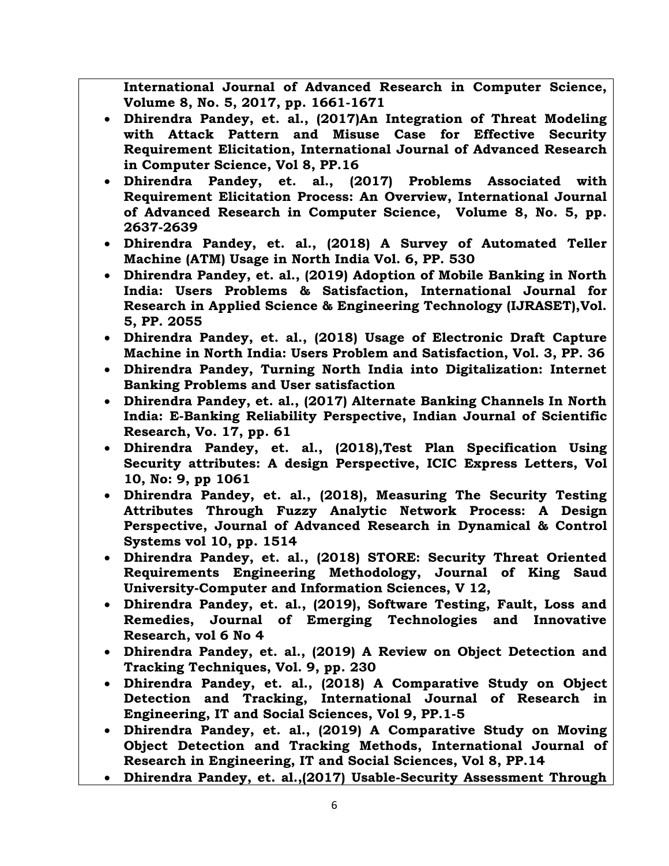**International Journal of Advanced Research in Computer Science, Volume 8, No. 5, 2017, pp. 1661-1671**

- **Dhirendra Pandey, et. al., (2017)An Integration of Threat Modeling with Attack Pattern and Misuse Case for Effective Security Requirement Elicitation, International Journal of Advanced Research in Computer Science, Vol 8, PP.16**
- **Dhirendra Pandey, et. al., (2017) Problems Associated with Requirement Elicitation Process: An Overview, International Journal of Advanced Research in Computer Science, Volume 8, No. 5, pp. 2637-2639**
- **Dhirendra Pandey, et. al., (2018) A Survey of Automated Teller Machine (ATM) Usage in North India Vol. 6, PP. 530**
- **Dhirendra Pandey, et. al., (2019) Adoption of Mobile Banking in North India: Users Problems & Satisfaction, International Journal for Research in Applied Science & Engineering Technology (IJRASET),Vol. 5, PP. 2055**
- **Dhirendra Pandey, et. al., (2018) Usage of Electronic Draft Capture Machine in North India: Users Problem and Satisfaction, Vol. 3, PP. 36**
- **Dhirendra Pandey, Turning North India into Digitalization: Internet Banking Problems and User satisfaction**
- **Dhirendra Pandey, et. al., (2017) Alternate Banking Channels In North India: E-Banking Reliability Perspective, Indian Journal of Scientific Research, Vo. 17, pp. 61**
- **Dhirendra Pandey, et. al., (2018),Test Plan Specification Using Security attributes: A design Perspective, ICIC Express Letters, Vol 10, No: 9, pp 1061**
- **Dhirendra Pandey, et. al., (2018), Measuring The Security Testing Attributes Through Fuzzy Analytic Network Process: A Design Perspective, Journal of Advanced Research in Dynamical & Control Systems vol 10, pp. 1514**
- **Dhirendra Pandey, et. al., (2018) STORE: Security Threat Oriented Requirements Engineering Methodology, Journal of King Saud University-Computer and Information Sciences, V 12,**
- **Dhirendra Pandey, et. al., (2019), Software Testing, Fault, Loss and Remedies, Journal of Emerging Technologies and Innovative Research, vol 6 No 4**
- **Dhirendra Pandey, et. al., (2019) A Review on Object Detection and Tracking Techniques, Vol. 9, pp. 230**
- **Dhirendra Pandey, et. al., (2018) A Comparative Study on Object Detection and Tracking, International Journal of Research in Engineering, IT and Social Sciences, Vol 9, PP.1-5**
- **Dhirendra Pandey, et. al., (2019) A Comparative Study on Moving Object Detection and Tracking Methods, International Journal of Research in Engineering, IT and Social Sciences, Vol 8, PP.14**
- **Dhirendra Pandey, et. al.,(2017) Usable-Security Assessment Through**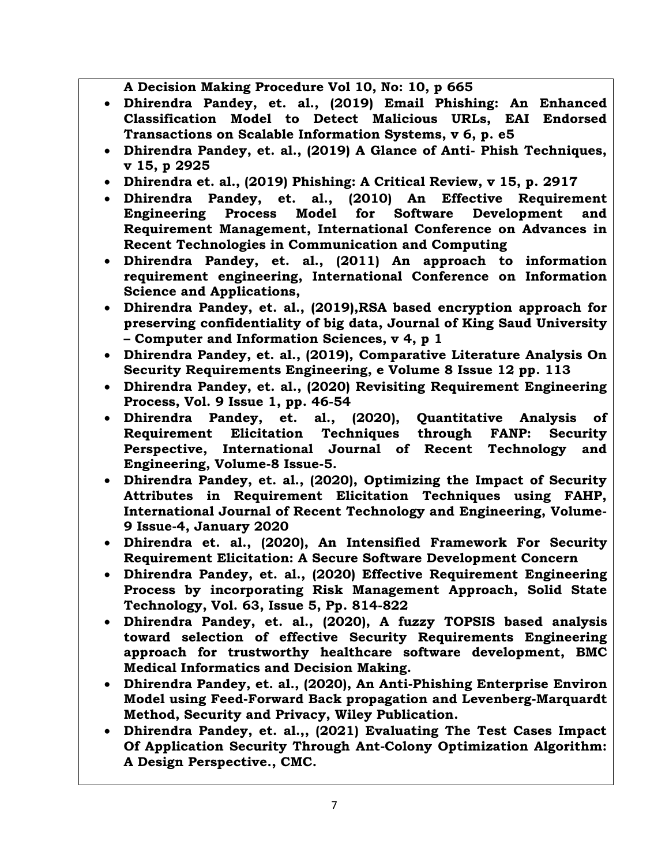**A Decision Making Procedure Vol 10, No: 10, p 665**

- **Dhirendra Pandey, et. al., (2019) Email Phishing: An Enhanced Classification Model to Detect Malicious URLs, EAI Endorsed Transactions on Scalable Information Systems, v 6, p. e5**
- **Dhirendra Pandey, et. al., (2019) A Glance of Anti- Phish Techniques, v 15, p 2925**
- **Dhirendra et. al., (2019) Phishing: A Critical Review, v 15, p. 2917**
- **Dhirendra Pandey, et. al., (2010) An Effective Requirement Engineering Process Model for Software Development and Requirement Management, International Conference on Advances in Recent Technologies in Communication and Computing**
- **Dhirendra Pandey, et. al., (2011) An approach to information requirement engineering, International Conference on Information Science and Applications,**
- **Dhirendra Pandey, et. al., (2019),RSA based encryption approach for preserving confidentiality of big data, Journal of King Saud University – Computer and Information Sciences, v 4, p 1**
- **Dhirendra Pandey, et. al., (2019), Comparative Literature Analysis On Security Requirements Engineering, e Volume 8 Issue 12 pp. 113**
- **Dhirendra Pandey, et. al., (2020) Revisiting Requirement Engineering Process, Vol. 9 Issue 1, pp. 46-54**
- **Dhirendra Pandey, et. al., (2020), Quantitative Analysis of Requirement Elicitation Techniques through FANP: Security Perspective, International Journal of Recent Technology and Engineering, Volume-8 Issue-5.**
- **Dhirendra Pandey, et. al., (2020), Optimizing the Impact of Security Attributes in Requirement Elicitation Techniques using FAHP, International Journal of Recent Technology and Engineering, Volume-9 Issue-4, January 2020**
- **Dhirendra et. al., (2020), An Intensified Framework For Security Requirement Elicitation: A Secure Software Development Concern**
- **Dhirendra Pandey, et. al., (2020) Effective Requirement Engineering Process by incorporating Risk Management Approach, Solid State Technology, Vol. 63, Issue 5, Pp. 814-822**
- **Dhirendra Pandey, et. al., (2020), A fuzzy TOPSIS based analysis toward selection of effective Security Requirements Engineering approach for trustworthy healthcare software development, BMC Medical Informatics and Decision Making.**
- **Dhirendra Pandey, et. al., (2020), An Anti-Phishing Enterprise Environ Model using Feed-Forward Back propagation and Levenberg-Marquardt Method, Security and Privacy, Wiley Publication.**
- **Dhirendra Pandey, et. al.,, (2021) Evaluating The Test Cases Impact Of Application Security Through Ant-Colony Optimization Algorithm: A Design Perspective., CMC.**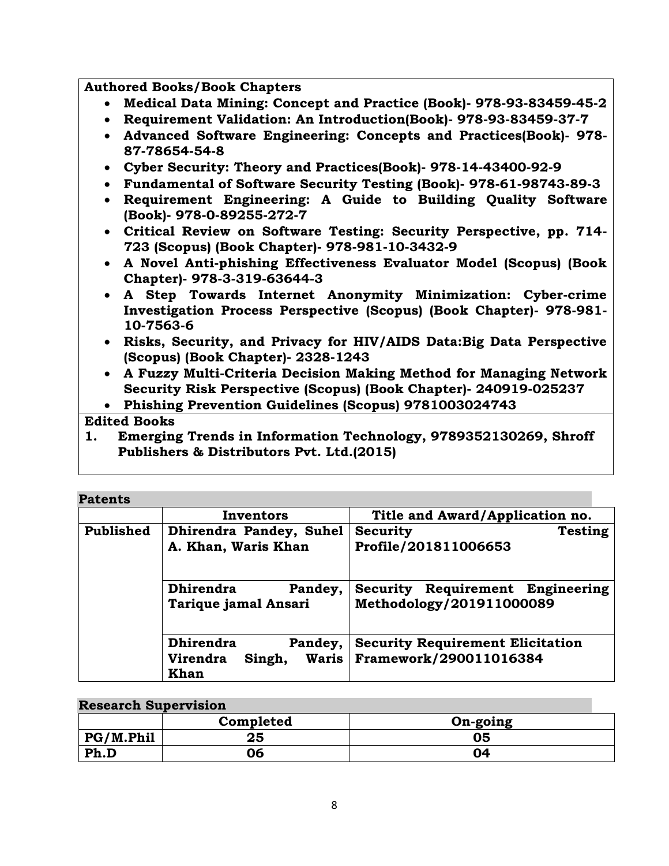**Authored Books/Book Chapters**

- **Medical Data Mining: Concept and Practice (Book)- 978-93-83459-45-2**
- **Requirement Validation: An Introduction(Book)- 978-93-83459-37-7**
- **Advanced Software Engineering: Concepts and Practices(Book)- 978- 87-78654-54-8**
- **Cyber Security: Theory and Practices(Book)- 978-14-43400-92-9**
- **Fundamental of Software Security Testing (Book)- 978-61-98743-89-3**
- **Requirement Engineering: A Guide to Building Quality Software (Book)- 978-0-89255-272-7**
- **Critical Review on Software Testing: Security Perspective, pp. 714- 723 (Scopus) (Book Chapter)- 978-981-10-3432-9**
- **A Novel Anti-phishing Effectiveness Evaluator Model (Scopus) (Book Chapter)- 978-3-319-63644-3**
- **A Step Towards Internet Anonymity Minimization: Cyber-crime Investigation Process Perspective (Scopus) (Book Chapter)- 978-981- 10-7563-6**
- **Risks, Security, and Privacy for HIV/AIDS Data:Big Data Perspective (Scopus) (Book Chapter)- 2328-1243**
- **A Fuzzy Multi-Criteria Decision Making Method for Managing Network Security Risk Perspective (Scopus) (Book Chapter)- 240919-025237**
- **Phishing Prevention Guidelines (Scopus) 9781003024743**

# **Edited Books**

**1. Emerging Trends in Information Technology, 9789352130269, Shroff Publishers & Distributors Pvt. Ltd.(2015)**

# **Patents**

|                                                     | Inventors                                         | Title and Award/Application no.                                           |  |
|-----------------------------------------------------|---------------------------------------------------|---------------------------------------------------------------------------|--|
| <b>Published</b>                                    | Dhirendra Pandey, Suhel                           | Testing<br><b>Security</b>                                                |  |
|                                                     | A. Khan, Waris Khan                               | Profile/201811006653                                                      |  |
| <b>Dhirendra</b><br>Pandey,<br>Tarique jamal Ansari |                                                   | Requirement<br><b>Security</b><br>Engineering<br>Methodology/201911000089 |  |
|                                                     | <b>Dhirendra</b><br>Pandey,                       | <b>Security Requirement Elicitation</b>                                   |  |
|                                                     | <b>Virendra</b><br><b>Waris</b><br>Singh,<br>Khan | Framework/290011016384                                                    |  |

#### **Research Supervision**

|           | Completed | On-going |
|-----------|-----------|----------|
| PG/M.Phil | 25        | 05       |
| Ph.D      | 06        | 04       |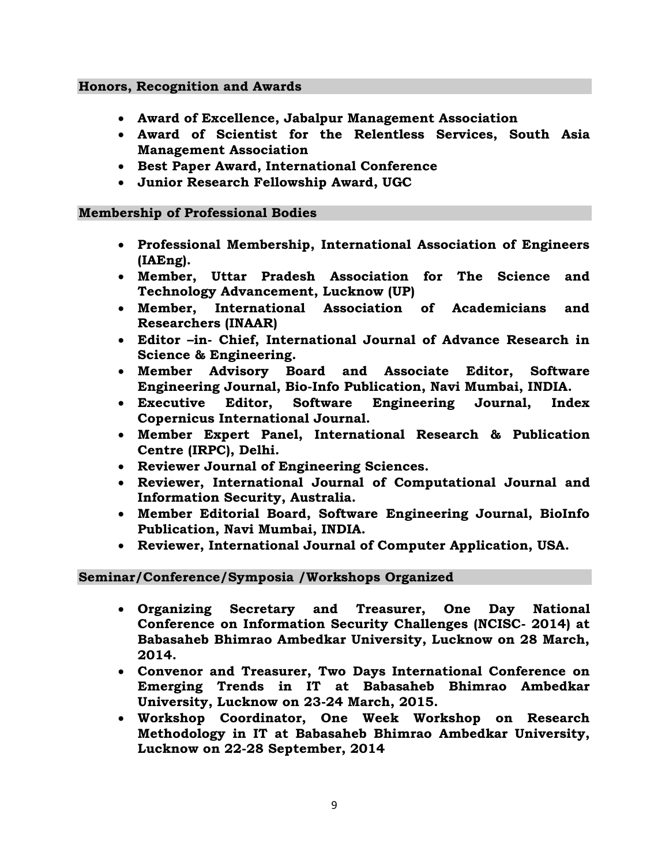#### **Honors, Recognition and Awards**

- **Award of Excellence, Jabalpur Management Association**
- **Award of Scientist for the Relentless Services, South Asia Management Association**
- **Best Paper Award, International Conference**
- **Junior Research Fellowship Award, UGC**

#### **Membership of Professional Bodies**

- **Professional Membership, International Association of Engineers (IAEng).**
- **Member, Uttar Pradesh Association for The Science and Technology Advancement, Lucknow (UP)**
- **Member, International Association of Academicians and Researchers (INAAR)**
- **Editor –in- Chief, International Journal of Advance Research in Science & Engineering.**
- **Member Advisory Board and Associate Editor, Software Engineering Journal, Bio-Info Publication, Navi Mumbai, INDIA.**
- **Executive Editor, Software Engineering Journal, Index Copernicus International Journal.**
- **Member Expert Panel, International Research & Publication Centre (IRPC), Delhi.**
- **Reviewer Journal of Engineering Sciences.**
- **Reviewer, International Journal of Computational Journal and Information Security, Australia.**
- **Member Editorial Board, Software Engineering Journal, BioInfo Publication, Navi Mumbai, INDIA.**
- **Reviewer, International Journal of Computer Application, USA.**

# **Seminar/Conference/Symposia /Workshops Organized**

- **Organizing Secretary and Treasurer, One Day National Conference on Information Security Challenges (NCISC- 2014) at Babasaheb Bhimrao Ambedkar University, Lucknow on 28 March, 2014.**
- **Convenor and Treasurer, Two Days International Conference on Emerging Trends in IT at Babasaheb Bhimrao Ambedkar University, Lucknow on 23-24 March, 2015.**
- **Workshop Coordinator, One Week Workshop on Research Methodology in IT at Babasaheb Bhimrao Ambedkar University, Lucknow on 22-28 September, 2014**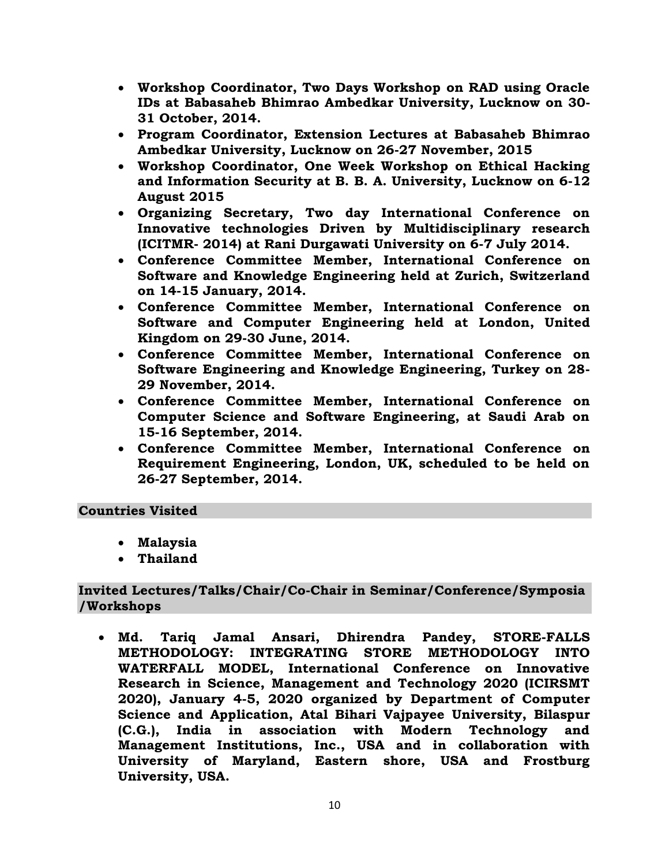- **Workshop Coordinator, Two Days Workshop on RAD using Oracle IDs at Babasaheb Bhimrao Ambedkar University, Lucknow on 30- 31 October, 2014.**
- **Program Coordinator, Extension Lectures at Babasaheb Bhimrao Ambedkar University, Lucknow on 26-27 November, 2015**
- **Workshop Coordinator, One Week Workshop on Ethical Hacking and Information Security at B. B. A. University, Lucknow on 6-12 August 2015**
- **Organizing Secretary, Two day International Conference on Innovative technologies Driven by Multidisciplinary research (ICITMR- 2014) at Rani Durgawati University on 6-7 July 2014.**
- **Conference Committee Member, International Conference on Software and Knowledge Engineering held at Zurich, Switzerland on 14-15 January, 2014.**
- **Conference Committee Member, International Conference on Software and Computer Engineering held at London, United Kingdom on 29-30 June, 2014.**
- **Conference Committee Member, International Conference on Software Engineering and Knowledge Engineering, Turkey on 28- 29 November, 2014.**
- **Conference Committee Member, International Conference on Computer Science and Software Engineering, at Saudi Arab on 15-16 September, 2014.**
- **Conference Committee Member, International Conference on Requirement Engineering, London, UK, scheduled to be held on 26-27 September, 2014.**

# **Countries Visited**

- **Malaysia**
- **Thailand**

# **Invited Lectures/Talks/Chair/Co-Chair in Seminar/Conference/Symposia /Workshops**

 **Md. Tariq Jamal Ansari, Dhirendra Pandey, STORE-FALLS METHODOLOGY: INTEGRATING STORE METHODOLOGY INTO WATERFALL MODEL, International Conference on Innovative Research in Science, Management and Technology 2020 (ICIRSMT 2020), January 4-5, 2020 organized by Department of Computer Science and Application, Atal Bihari Vajpayee University, Bilaspur (C.G.), India in association with Modern Technology and Management Institutions, Inc., USA and in collaboration with University of Maryland, Eastern shore, USA and Frostburg University, USA.**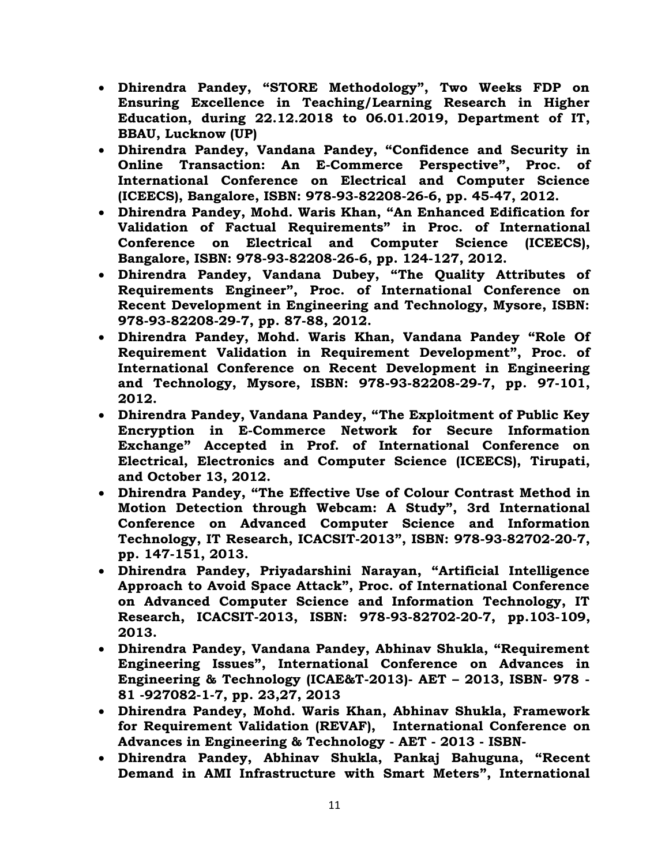- **Dhirendra Pandey, "STORE Methodology", Two Weeks FDP on Ensuring Excellence in Teaching/Learning Research in Higher Education, during 22.12.2018 to 06.01.2019, Department of IT, BBAU, Lucknow (UP)**
- **Dhirendra Pandey, Vandana Pandey, "Confidence and Security in Online Transaction: An E-Commerce Perspective", Proc. of International Conference on Electrical and Computer Science (ICEECS), Bangalore, ISBN: 978-93-82208-26-6, pp. 45-47, 2012.**
- **Dhirendra Pandey, Mohd. Waris Khan, "An Enhanced Edification for Validation of Factual Requirements" in Proc. of International Conference on Electrical and Computer Science (ICEECS), Bangalore, ISBN: 978-93-82208-26-6, pp. 124-127, 2012.**
- **Dhirendra Pandey, Vandana Dubey, "The Quality Attributes of Requirements Engineer", Proc. of International Conference on Recent Development in Engineering and Technology, Mysore, ISBN: 978-93-82208-29-7, pp. 87-88, 2012.**
- **Dhirendra Pandey, Mohd. Waris Khan, Vandana Pandey "Role Of Requirement Validation in Requirement Development", Proc. of International Conference on Recent Development in Engineering and Technology, Mysore, ISBN: 978-93-82208-29-7, pp. 97-101, 2012.**
- **Dhirendra Pandey, Vandana Pandey, "The Exploitment of Public Key Encryption in E-Commerce Network for Secure Information Exchange" Accepted in Prof. of International Conference on Electrical, Electronics and Computer Science (ICEECS), Tirupati, and October 13, 2012.**
- **Dhirendra Pandey, "The Effective Use of Colour Contrast Method in Motion Detection through Webcam: A Study", 3rd International Conference on Advanced Computer Science and Information Technology, IT Research, ICACSIT-2013", ISBN: 978-93-82702-20-7, pp. 147-151, 2013.**
- **Dhirendra Pandey, Priyadarshini Narayan, "Artificial Intelligence Approach to Avoid Space Attack", Proc. of International Conference on Advanced Computer Science and Information Technology, IT Research, ICACSIT-2013, ISBN: 978-93-82702-20-7, pp.103-109, 2013.**
- **Dhirendra Pandey, Vandana Pandey, Abhinav Shukla, "Requirement Engineering Issues", International Conference on Advances in Engineering & Technology (ICAE&T-2013)- AET – 2013, ISBN- 978 - 81 -927082-1-7, pp. 23,27, 2013**
- **Dhirendra Pandey, Mohd. Waris Khan, Abhinav Shukla, [Framework](http://iarcventure.com/proceedings/AET_Bangalore19May13/contents/37-42.pdf)  [for Requirement Validation \(REVAF\),](http://iarcventure.com/proceedings/AET_Bangalore19May13/contents/37-42.pdf) International Conference on Advances in Engineering & Technology - AET - 2013 - ISBN-**
- **Dhirendra Pandey, Abhinav Shukla, Pankaj Bahuguna, "[Recent](http://iarcventure.com/proceedings/AET_Bangalore19May13/contents/43-45.pdf)  [Demand in AMI Infrastructure with Smart Meters](http://iarcventure.com/proceedings/AET_Bangalore19May13/contents/43-45.pdf)", International**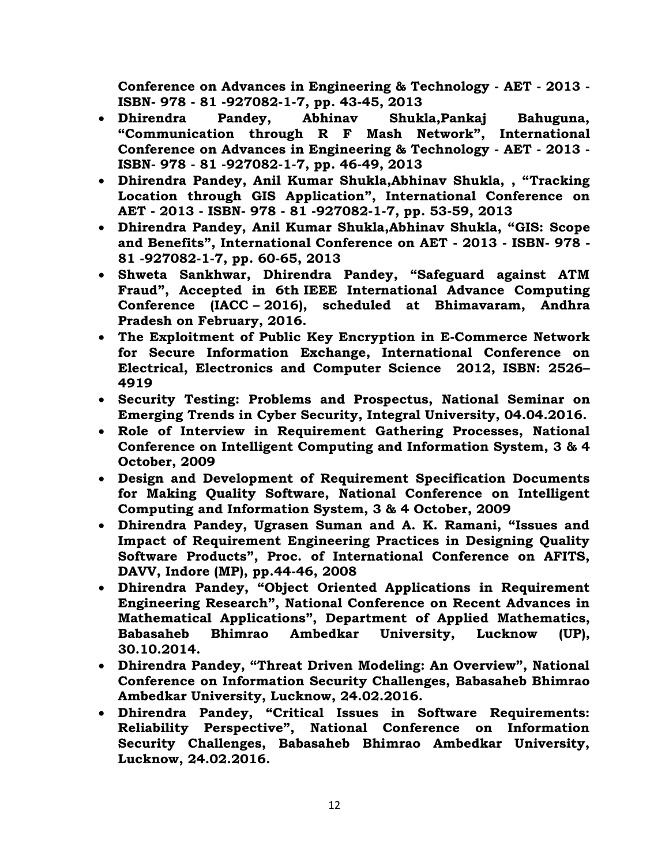**Conference on Advances in Engineering & Technology - AET - 2013 - ISBN- 978 - 81 -927082-1-7, pp. 43-45, 2013**

- **Dhirendra Pandey, Abhinav Shukla,Pankaj Bahuguna, "[Communication through R F Mash Network](http://iarcventure.com/proceedings/AET_Bangalore19May13/contents/46-49.pdf)", International Conference on Advances in Engineering & Technology - AET - 2013 - ISBN- 978 - 81 -927082-1-7, pp. 46-49, 2013**
- **Dhirendra Pandey, Anil Kumar Shukla,Abhinav Shukla, , "[Tracking](http://iarcventure.com/proceedings/AET_Bangalore19May13/contents/53-59.pdf)  [Location through GIS Application](http://iarcventure.com/proceedings/AET_Bangalore19May13/contents/53-59.pdf)", International Conference on AET - 2013 - ISBN- 978 - 81 -927082-1-7, pp. 53-59, 2013**
- **Dhirendra Pandey, Anil Kumar Shukla,Abhinav Shukla, "[GIS: Scope](http://iarcventure.com/proceedings/AET_Bangalore19May13/contents/60-65.pdf)  and [Benefits](http://iarcventure.com/proceedings/AET_Bangalore19May13/contents/60-65.pdf)", International Conference on AET - 2013 - ISBN- 978 - 81 -927082-1-7, pp. 60-65, 2013**
- **Shweta Sankhwar, Dhirendra Pandey, "Safeguard against ATM Fraud", Accepted in 6th IEEE International Advance Computing Conference (IACC – 2016), scheduled at Bhimavaram, Andhra Pradesh on February, 2016.**
- **The Exploitment of Public Key Encryption in E-Commerce Network for Secure Information Exchange, International Conference on Electrical, Electronics and Computer Science 2012, ISBN: 2526– 4919**
- **Security Testing: Problems and Prospectus, National Seminar on Emerging Trends in Cyber Security, Integral University, 04.04.2016.**
- **Role of Interview in Requirement Gathering Processes, National Conference on Intelligent Computing and Information System, 3 & 4 October, 2009**
- **Design and Development of Requirement Specification Documents for Making Quality Software, National Conference on Intelligent Computing and Information System, 3 & 4 October, 2009**
- **Dhirendra Pandey, Ugrasen Suman and A. K. Ramani, "Issues and Impact of Requirement Engineering Practices in Designing Quality Software Products", Proc. of International Conference on AFITS, DAVV, Indore (MP), pp.44-46, 2008**
- **Dhirendra Pandey, "Object Oriented Applications in Requirement Engineering Research", National Conference on Recent Advances in Mathematical Applications", Department of Applied Mathematics, Babasaheb Bhimrao Ambedkar University, Lucknow (UP), 30.10.2014.**
- **Dhirendra Pandey, "Threat Driven Modeling: An Overview", National Conference on Information Security Challenges, Babasaheb Bhimrao Ambedkar University, Lucknow, 24.02.2016.**
- **Dhirendra Pandey, "Critical Issues in Software Requirements: Reliability Perspective", National Conference on Information Security Challenges, Babasaheb Bhimrao Ambedkar University, Lucknow, 24.02.2016.**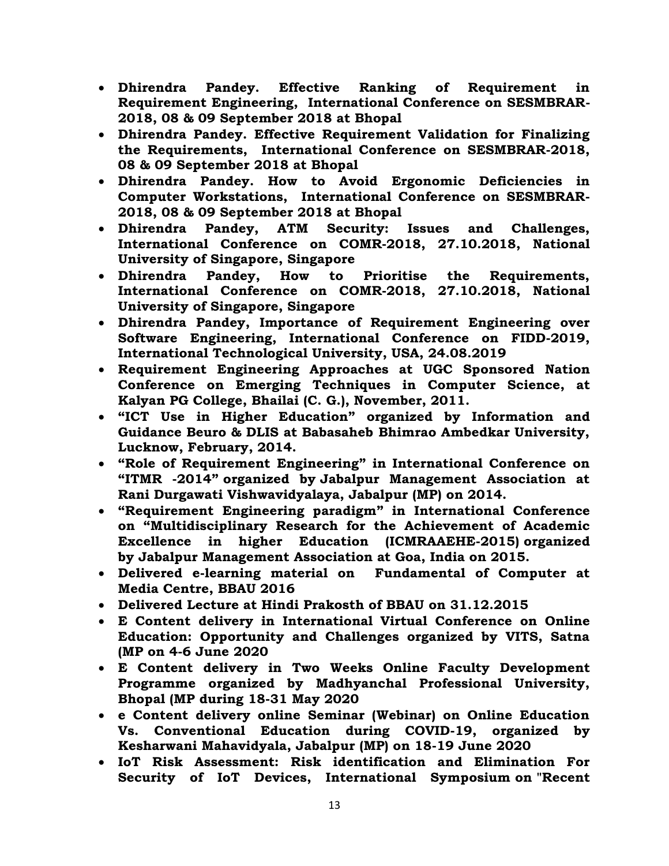- **Dhirendra Pandey. Effective Ranking of Requirement in Requirement Engineering, International Conference on SESMBRAR-2018, 08 & 09 September 2018 at Bhopal**
- **Dhirendra Pandey. Effective Requirement Validation for Finalizing the Requirements, International Conference on SESMBRAR-2018, 08 & 09 September 2018 at Bhopal**
- **Dhirendra Pandey. How to Avoid Ergonomic Deficiencies in Computer Workstations, International Conference on SESMBRAR-2018, 08 & 09 September 2018 at Bhopal**
- **Dhirendra Pandey, ATM Security: Issues and Challenges, International Conference on COMR-2018, 27.10.2018, National University of Singapore, Singapore**
- **Dhirendra Pandey, How to Prioritise the Requirements, International Conference on COMR-2018, 27.10.2018, National University of Singapore, Singapore**
- **Dhirendra Pandey, Importance of Requirement Engineering over Software Engineering, International Conference on FIDD-2019, International Technological University, USA, 24.08.2019**
- **Requirement Engineering Approaches at UGC Sponsored Nation Conference on Emerging Techniques in Computer Science, at Kalyan PG College, Bhailai (C. G.), November, 2011.**
- **"ICT Use in Higher Education" organized by Information and Guidance Beuro & DLIS at Babasaheb Bhimrao Ambedkar University, Lucknow, February, 2014.**
- **"Role of Requirement Engineering" in International Conference on "ITMR -2014" organized by Jabalpur Management Association at Rani Durgawati Vishwavidyalaya, Jabalpur (MP) on 2014.**
- **"Requirement Engineering paradigm" in International Conference on "Multidisciplinary Research for the Achievement of Academic Excellence in higher Education (ICMRAAEHE-2015) organized by Jabalpur Management Association at Goa, India on 2015.**
- **Delivered e-learning material on Fundamental of Computer at Media Centre, BBAU 2016**
- **Delivered Lecture at Hindi Prakosth of BBAU on 31.12.2015**
- **E Content delivery in International Virtual Conference on Online Education: Opportunity and Challenges organized by VITS, Satna (MP on 4-6 June 2020**
- **E Content delivery in Two Weeks Online Faculty Development Programme organized by Madhyanchal Professional University, Bhopal (MP during 18-31 May 2020**
- **e Content delivery online Seminar (Webinar) on Online Education Vs. Conventional Education during COVID-19, organized by Kesharwani Mahavidyala, Jabalpur (MP) on 18-19 June 2020**
- **IoT Risk Assessment: Risk identification and Elimination For Security of IoT Devices, International Symposium on "Recent**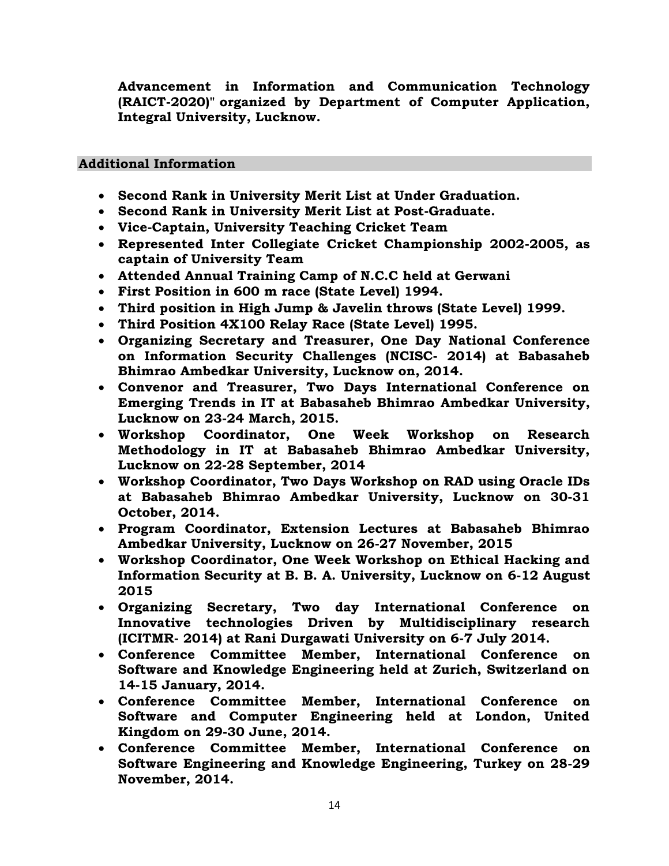**Advancement in Information and Communication Technology (RAICT-2020)" organized by Department of Computer Application, Integral University, Lucknow.**

# **Additional Information**

- **Second Rank in University Merit List at Under Graduation.**
- **Second Rank in University Merit List at Post-Graduate.**
- **Vice-Captain, University Teaching Cricket Team**
- **Represented Inter Collegiate Cricket Championship 2002-2005, as captain of University Team**
- **Attended Annual Training Camp of N.C.C held at Gerwani**
- **First Position in 600 m race (State Level) 1994.**
- **Third position in High Jump & Javelin throws (State Level) 1999.**
- **Third Position 4X100 Relay Race (State Level) 1995.**
- **Organizing Secretary and Treasurer, One Day National Conference on Information Security Challenges (NCISC- 2014) at Babasaheb Bhimrao Ambedkar University, Lucknow on, 2014.**
- **Convenor and Treasurer, Two Days International Conference on Emerging Trends in IT at Babasaheb Bhimrao Ambedkar University, Lucknow on 23-24 March, 2015.**
- **Workshop Coordinator, One Week Workshop on Research Methodology in IT at Babasaheb Bhimrao Ambedkar University, Lucknow on 22-28 September, 2014**
- **Workshop Coordinator, Two Days Workshop on RAD using Oracle IDs at Babasaheb Bhimrao Ambedkar University, Lucknow on 30-31 October, 2014.**
- **Program Coordinator, Extension Lectures at Babasaheb Bhimrao Ambedkar University, Lucknow on 26-27 November, 2015**
- **Workshop Coordinator, One Week Workshop on Ethical Hacking and Information Security at B. B. A. University, Lucknow on 6-12 August 2015**
- **Organizing Secretary, Two day International Conference on Innovative technologies Driven by Multidisciplinary research (ICITMR- 2014) at Rani Durgawati University on 6-7 July 2014.**
- **Conference Committee Member, International Conference on Software and Knowledge Engineering held at Zurich, Switzerland on 14-15 January, 2014.**
- **Conference Committee Member, International Conference on Software and Computer Engineering held at London, United Kingdom on 29-30 June, 2014.**
- **Conference Committee Member, International Conference on Software Engineering and Knowledge Engineering, Turkey on 28-29 November, 2014.**